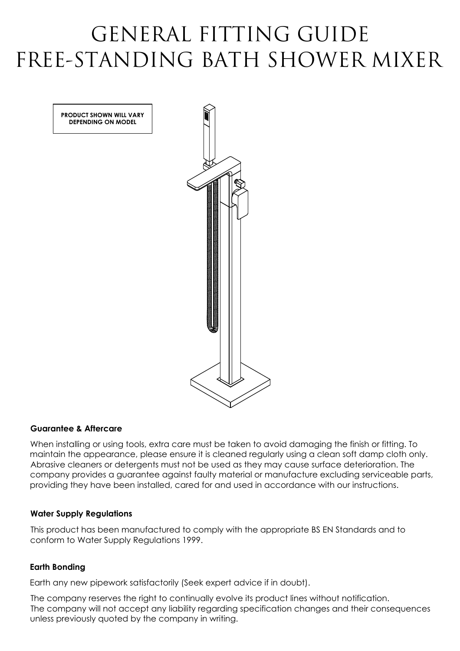# GENERAL FITTING GUIDE FREE-STANDING BATH SHOWER MIXER

**PRODUCT SHOWN WILL VARY DEPENDING ON MODEL**



## **Guarantee & Aftercare**

When installing or using tools, extra care must be taken to avoid damaging the finish or fitting. To maintain the appearance, please ensure it is cleaned regularly using a clean soft damp cloth only. Abrasive cleaners or detergents must not be used as they may cause surface deterioration. The company provides a guarantee against faulty material or manufacture excluding serviceable parts, providing they have been installed, cared for and used in accordance with our instructions.

## **Water Supply Regulations**

This product has been manufactured to comply with the appropriate BS EN Standards and to conform to Water Supply Regulations 1999.

## **Earth Bonding**

Earth any new pipework satisfactorily (Seek expert advice if in doubt).

The company reserves the right to continually evolve its product lines without notification. The company will not accept any liability regarding specification changes and their consequences unless previously quoted by the company in writing.